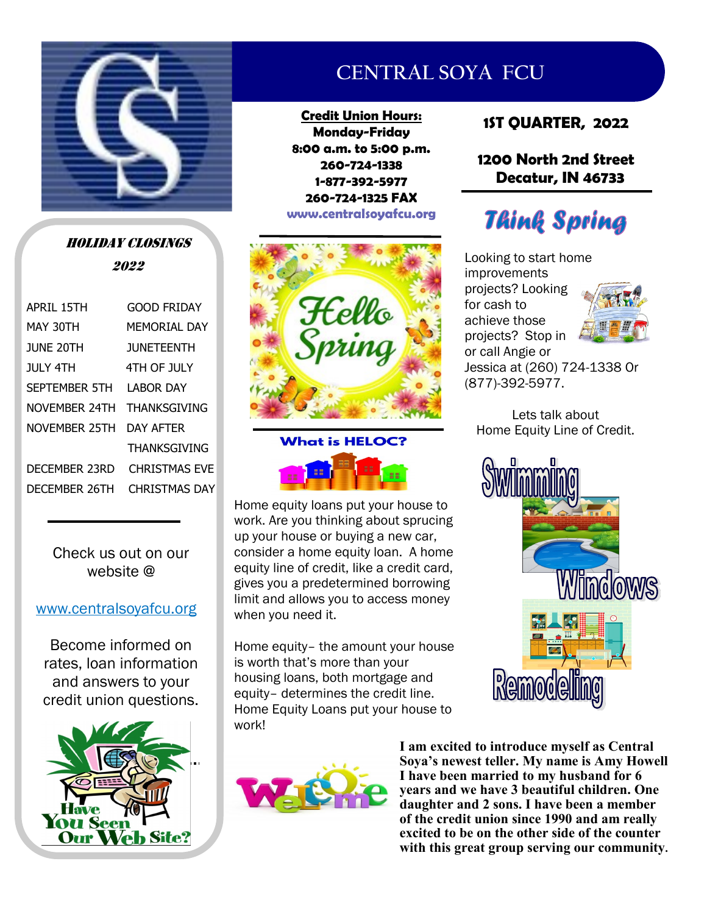

HOLIDAY CLOSINGS 2022

| APRIL 15TH           | GOOD FRIDAY          |  |  |
|----------------------|----------------------|--|--|
| MAY 30TH             | MEMORTAI DAY         |  |  |
| <b>IUNE 20TH</b>     | <b>JUNETEENTH</b>    |  |  |
| JULY 4TH             | 4TH OF JULY          |  |  |
| <b>SEPTEMBER 5TH</b> | I AROR DAY           |  |  |
| NOVFMBFR 24TH        | <b>THANKSGIVING</b>  |  |  |
| NOVEMBER 25TH        | DAY AFTFR            |  |  |
|                      | <b>THANKSGIVING</b>  |  |  |
| DFCFMBFR 23RD        | <b>CHRISTMAS FVF</b> |  |  |
| DFCFMBFR 26TH        | <b>CHRISTMAS DAY</b> |  |  |
|                      |                      |  |  |

Check us out on our website @

#### www.centralsoyafcu.org

Become informed on rates, loan information and answers to your credit union questions.



# **CENTRAL SOYA FCU**

**Credit Union Hours: Monday-Friday 8:00 a.m. to 5:00 p.m. 260-724-1338 1-877-392-5977 260-724-1325 FAX www.centralsoyafcu.org**





Home equity loans put your house to work. Are you thinking about sprucing up your house or buying a new car, consider a home equity loan. A home equity line of credit, like a credit card, gives you a predetermined borrowing limit and allows you to access money when you need it.

Home equity– the amount your house is worth that's more than your housing loans, both mortgage and equity– determines the credit line. Home Equity Loans put your house to work!

# **1ST QUARTER, 2022**

#### **1200 North 2nd Street Decatur, IN 46733**

# **Think Spring**

Looking to start home improvements projects? Looking for cash to achieve those projects? Stop in or call Angie or



Jessica at (260) 724-1338 Or (877)-392-5977.

Lets talk about Home Equity Line of Credit.





**I am excited to introduce myself as Central Soya's newest teller. My name is Amy Howell I have been married to my husband for 6 years and we have 3 beautiful children. One daughter and 2 sons. I have been a member of the credit union since 1990 and am really excited to be on the other side of the counter with this great group serving our community.**